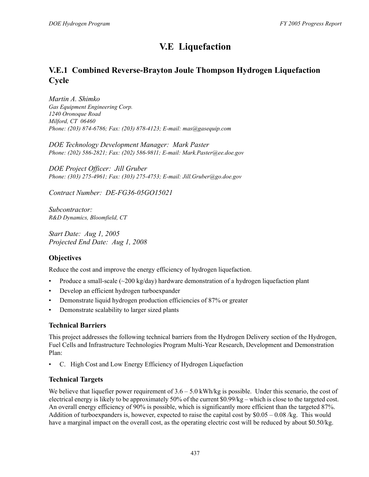# **V.E Liquefaction**

## **V.E.1 Combined Reverse-Brayton Joule Thompson Hydrogen Liquefaction Cycle**

*Martin A. Shimko Gas Equipment Engineering Corp. 1240 Oronoque Road Milford, CT 06460 Phone: (203) 874-6786; Fax: (203) 878-4123; E-mail: mas@gasequip.com*

*DOE Technology Development Manager: Mark Paster Phone: (202) 586-2821; Fax: (202) 586-9811; E-mail: Mark.Paster@ee.doe.gov*

*DOE Project Officer: Jill Gruber Phone: (303) 275-4961; Fax: (303) 275-4753; E-mail: Jill.Gruber@go.doe.gov*

*Contract Number: DE-FG36-05GO15021*

*Subcontractor: R&D Dynamics, Bloomfield, CT*

*Start Date: Aug 1, 2005 Projected End Date: Aug 1, 2008*

### **Objectives**

Reduce the cost and improve the energy efficiency of hydrogen liquefaction.

- Produce a small-scale  $(\sim 200 \text{ kg/day})$  hardware demonstration of a hydrogen liquefaction plant
- Develop an efficient hydrogen turboexpander
- Demonstrate liquid hydrogen production efficiencies of 87% or greater
- Demonstrate scalability to larger sized plants

#### **Technical Barriers**

This project addresses the following technical barriers from the Hydrogen Delivery section of the Hydrogen, Fuel Cells and Infrastructure Technologies Program Multi-Year Research, Development and Demonstration Plan:

• C. High Cost and Low Energy Efficiency of Hydrogen Liquefaction

#### **Technical Targets**

We believe that liquefier power requirement of  $3.6 - 5.0$  kWh/kg is possible. Under this scenario, the cost of electrical energy is likely to be approximately 50% of the current \$0.99/kg – which is close to the targeted cost. An overall energy efficiency of 90% is possible, which is significantly more efficient than the targeted 87%. Addition of turboexpanders is, however, expected to raise the capital cost by \$0.05 – 0.08 /kg. This would have a marginal impact on the overall cost, as the operating electric cost will be reduced by about \$0.50/kg.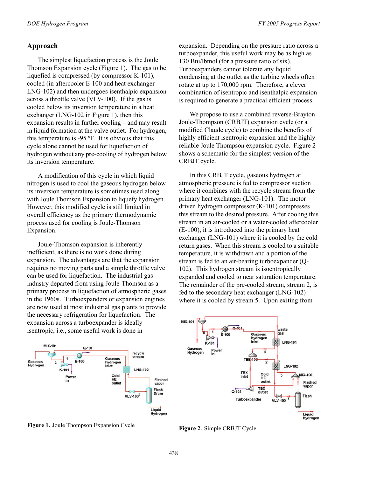#### **Approach**

The simplest liquefaction process is the Joule Thomson Expansion cycle (Figure 1 ). The gas to be liquefied is compressed (by compressor K-101), cooled (in aftercooler E-100 and heat exchanger LNG-102) and then undergoes isenthalpic expansion across a throttle valve (VLV-100). If the gas is cooled below its inversion temperature in a heat exchanger (LNG-102 in Figure 1), then this expansion results in further cooling – and may result in liquid formation at the valve outlet. For hydrogen, this temperature is -95 ºF. It is obvious that this cycle alone cannot be used for liquefaction of hydrogen without any pre-cooling of hydrogen below its inversion temperature.

A modification of this cycle in which liquid nitrogen is used to cool the gaseous hydrogen below its inversion temperature is sometimes used along with Joule Thomson Expansion to liquefy hydrogen. However, this modified cycle is still limited in overall efficiency as the primary thermodynamic process used for cooling is Joule-Thomson Expansion.

Joule-Thomson expansion is inherently inefficient, as there is no work done during expansion. The advantages are that the expansion requires no moving parts and a simple throttle valve can be used for liquefaction. The industrial gas industry departed from using Joule-Thomson as a primary process in liquefaction of atmospheric gases in the 1960s. Turboexpanders or expansion engines are now used at most industrial gas plants to provide the necessary refrigeration for liquefaction. The expansion across a turboexpander is ideally isentropic, i.e., some useful work is done in



**Figure 1.** Joule Thompson Expansion Cycle

expansion. Depending on the pressure ratio across a turboexpander, this useful work may be as high as 130 Btu/lbmol (for a pressure ratio of six). Turboexpanders cannot tolerate any liquid condensing at the outlet as the turbine wheels often rotate at up to 170,000 rpm. Therefore, a clever combination of isentropic and isenthalpic expansion is required to generate a practical efficient process.

We propose to use a combined reverse-Brayton Joule-Thompson (CRBJT) expansion cycle (or a modified Claude cycle) to combine the benefits of highly efficient isentropic expansion and the highly reliable Joule Thompson expansion cycle. Figure 2 shows a schematic for the simplest version of the CRBJT cycle.

In this CRBJT cycle, gaseous hydrogen at atmospheric pressure is fed to compressor suction where it combines with the recycle stream from the primary heat exchanger (LNG-101). The motor driven hydrogen compressor (K-101) compresses this stream to the desired pressure. After cooling this stream in an air-cooled or a water-cooled aftercooler (E-100), it is introduced into the primary heat exchanger (LNG-101) where it is cooled by the cold return gases. When this stream is cooled to a suitable temperature, it is withdrawn and a portion of the stream is fed to an air-bearing turboexpander (Q-102). This hydrogen stream is isoentropically expanded and cooled to near saturation temperature. The remainder of the pre-cooled stream, stream 2, is fed to the secondary heat exchanger (LNG-102) where it is cooled by stream 5. Upon exiting from



**Figure 2.** Simple CRBJT Cycle